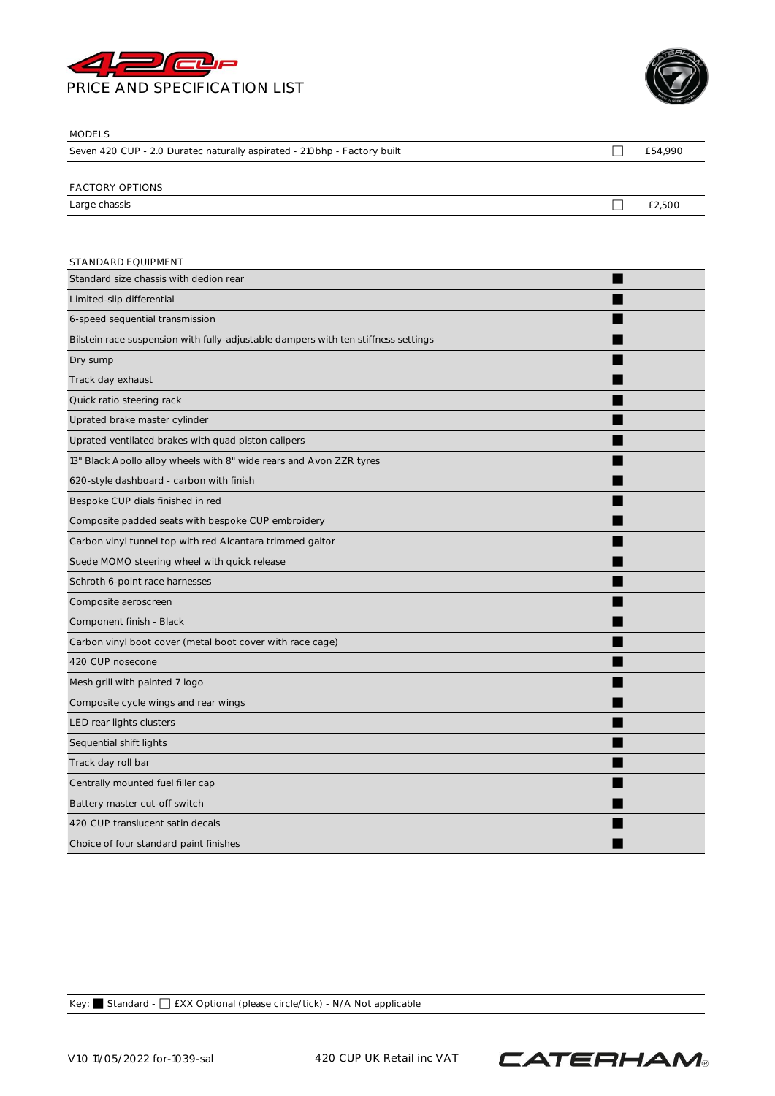



| <b>MODELS</b>                                                            |         |
|--------------------------------------------------------------------------|---------|
| Seven 420 CUP - 2.0 Duratec naturally aspirated - 210bhp - Factory built | £54,990 |
|                                                                          |         |
| <b>FACTORY OPTIONS</b>                                                   |         |
| Large chassis                                                            | £2,500  |
|                                                                          |         |
|                                                                          |         |
| STANDARD EQUIPMENT                                                       |         |

| Standard size chassis with dedion rear                                             |  |
|------------------------------------------------------------------------------------|--|
| Limited-slip differential                                                          |  |
| 6-speed sequential transmission                                                    |  |
| Bilstein race suspension with fully-adjustable dampers with ten stiffness settings |  |
| Dry sump                                                                           |  |
| Track day exhaust                                                                  |  |
| Quick ratio steering rack                                                          |  |
| Uprated brake master cylinder                                                      |  |
| Uprated ventilated brakes with quad piston calipers                                |  |
| 13" Black Apollo alloy wheels with 8" wide rears and Avon ZZR tyres                |  |
| 620-style dashboard - carbon with finish                                           |  |
| Bespoke CUP dials finished in red                                                  |  |
| Composite padded seats with bespoke CUP embroidery                                 |  |
| Carbon vinyl tunnel top with red Alcantara trimmed gaitor                          |  |
| Suede MOMO steering wheel with quick release                                       |  |
| Schroth 6-point race harnesses                                                     |  |
| Composite aeroscreen                                                               |  |
| Component finish - Black                                                           |  |
| Carbon vinyl boot cover (metal boot cover with race cage)                          |  |
| 420 CUP nosecone                                                                   |  |
| Mesh grill with painted 7 logo                                                     |  |
| Composite cycle wings and rear wings                                               |  |
| LED rear lights clusters                                                           |  |
| Sequential shift lights                                                            |  |
| Track day roll bar                                                                 |  |
| Centrally mounted fuel filler cap                                                  |  |
| Battery master cut-off switch                                                      |  |
| 420 CUP translucent satin decals                                                   |  |
| Choice of four standard paint finishes                                             |  |
|                                                                                    |  |

Key: ⬛ Standard - ⬜ £XX Optional (please circle/tick) - N/A Not applicable

V1.0 11/05/2022 for-1039-sal 420 CUP UK Retail inc VAT

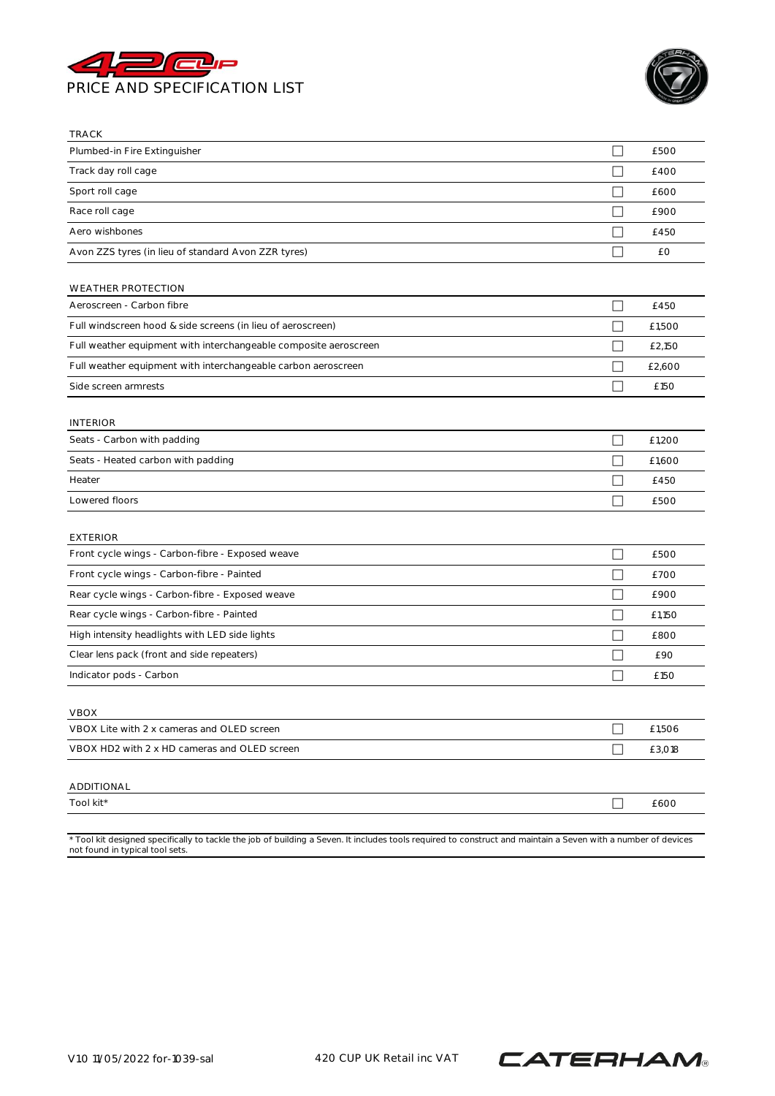



| <b>TRACK</b>                                                        |                          |        |
|---------------------------------------------------------------------|--------------------------|--------|
| Plumbed-in Fire Extinguisher                                        |                          | £500   |
| Track day roll cage                                                 | П                        | £400   |
| Sport roll cage                                                     |                          | £600   |
| Race roll cage                                                      |                          | £900   |
| Aero wishbones                                                      |                          | £450   |
| Avon ZZS tyres (in lieu of standard Avon ZZR tyres)                 | $\mathbf{I}$             | £Ο     |
| <b>WEATHER PROTECTION</b>                                           |                          |        |
| Aeroscreen - Carbon fibre                                           | $\mathcal{L}$            | £450   |
| Full windscreen hood & side screens (in lieu of aeroscreen)         | ×                        | £1,500 |
| Full weather equipment with interchangeable composite aeroscreen    |                          | £2,150 |
| Full weather equipment with interchangeable carbon aeroscreen       |                          | £2,600 |
| Side screen armrests                                                | ×                        | £150   |
| <b>INTERIOR</b>                                                     |                          |        |
| Seats - Carbon with padding                                         |                          | £1,200 |
| Seats - Heated carbon with padding                                  | $\Box$                   | £1,600 |
| Heater                                                              |                          | £450   |
| Lowered floors                                                      |                          | £500   |
|                                                                     |                          |        |
| <b>EXTERIOR</b><br>Front cycle wings - Carbon-fibre - Exposed weave | ш                        | £500   |
| Front cycle wings - Carbon-fibre - Painted                          |                          | £700   |
| Rear cycle wings - Carbon-fibre - Exposed weave                     |                          | £900   |
| Rear cycle wings - Carbon-fibre - Painted                           | $\overline{\phantom{a}}$ | £1,150 |
| High intensity headlights with LED side lights                      |                          | £800   |
| Clear lens pack (front and side repeaters)                          |                          | £90    |
| Indicator pods - Carbon                                             | П                        | £150   |
|                                                                     |                          |        |
| <b>VBOX</b>                                                         |                          |        |
| VBOX Lite with 2 x cameras and OLED screen                          |                          | £1,506 |
| VBOX HD2 with 2 x HD cameras and OLED screen                        | П                        | £3,018 |
| ADDITIONAL                                                          |                          |        |
| Tool kit*                                                           | $\Box$                   | £600   |
|                                                                     |                          |        |

\* Tool kit designed specifically to tackle the job of building a Seven. It includes tools required to construct and maintain a Seven with a number of devices not found in typical tool sets.

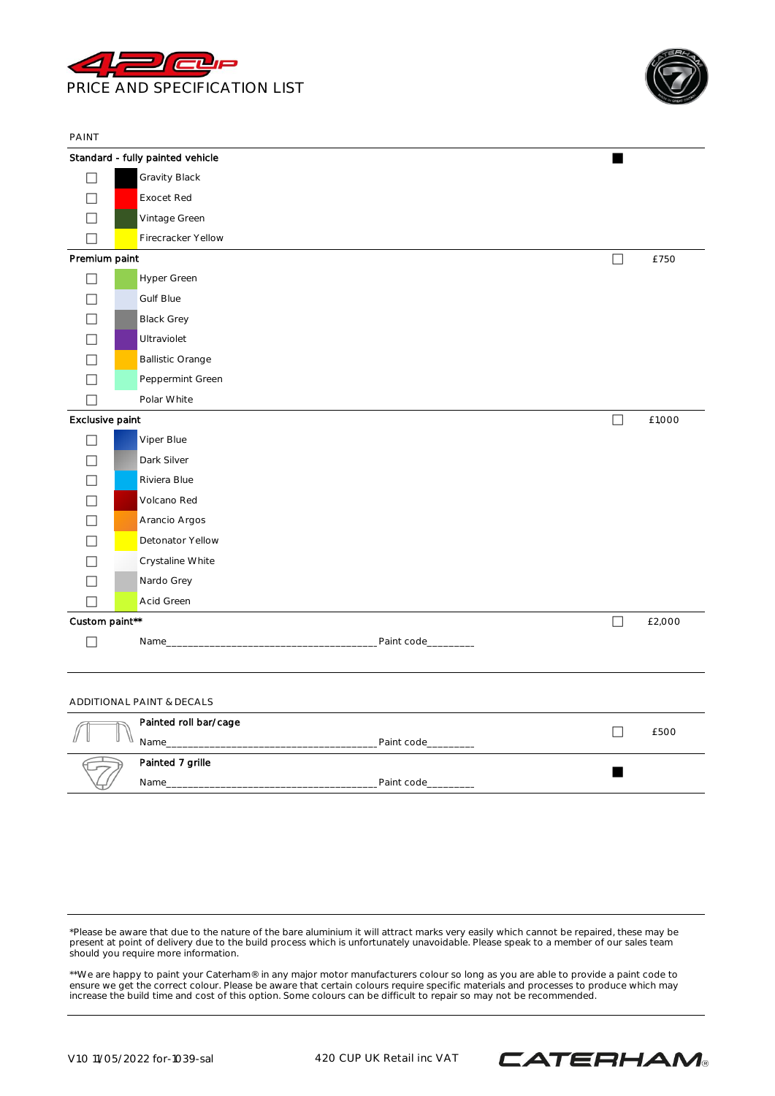

PAINT



|                          | Standard - fully painted vehicle |                    | ш      |        |
|--------------------------|----------------------------------|--------------------|--------|--------|
|                          | Gravity Black                    |                    |        |        |
|                          | <b>Exocet Red</b>                |                    |        |        |
| L                        | Vintage Green                    |                    |        |        |
|                          | Firecracker Yellow               |                    |        |        |
| Premium paint            |                                  |                    | □      | £750   |
| $\overline{\phantom{a}}$ | Hyper Green                      |                    |        |        |
|                          | <b>Gulf Blue</b>                 |                    |        |        |
|                          | <b>Black Grey</b>                |                    |        |        |
|                          | Ultraviolet                      |                    |        |        |
|                          | <b>Ballistic Orange</b>          |                    |        |        |
|                          | Peppermint Green                 |                    |        |        |
| $\mathcal{L}$            | Polar White                      |                    |        |        |
| Exclusive paint          |                                  |                    | $\Box$ | £1,000 |
| $\mathcal{L}$            | Viper Blue                       |                    |        |        |
|                          | Dark Silver                      |                    |        |        |
| $\overline{\phantom{0}}$ | Riviera Blue                     |                    |        |        |
|                          | Volcano Red                      |                    |        |        |
| $\sim$                   | Arancio Argos                    |                    |        |        |
| ٦                        | Detonator Yellow                 |                    |        |        |
|                          | Crystaline White                 |                    |        |        |
|                          | Nardo Grey                       |                    |        |        |
| $\Box$                   | Acid Green                       |                    |        |        |
| Custom paint**           |                                  |                    | $\Box$ | £2,000 |
|                          |                                  | Paint code________ |        |        |
|                          |                                  |                    |        |        |
|                          |                                  |                    |        |        |

## ADDITIONAL PAINT & DECALS

| Painted roll bar/cage |            | £500 |
|-----------------------|------------|------|
| Name                  | Paint code |      |
| Painted 7 grille      |            |      |
| Name                  | Paint code |      |

\*Please be aware that due to the nature of the bare aluminium it will attract marks very easily which cannot be repaired, these may be present at point of delivery due to the build process which is unfortunately unavoidable. Please speak to a member of our sales team should you require more information.

\*\*We are happy to paint your Caterham® in any major motor manufacturers colour so long as you are able to provide a paint code to ensure we get the correct colour. Please be aware that certain colours require specific materials and processes to produce which may increase the build time and cost of this option. Some colours can be difficult to repair so may not be recommended.

V1.0 11/05/2022 for-1039-sal 420 CUP UK Retail inc VAT

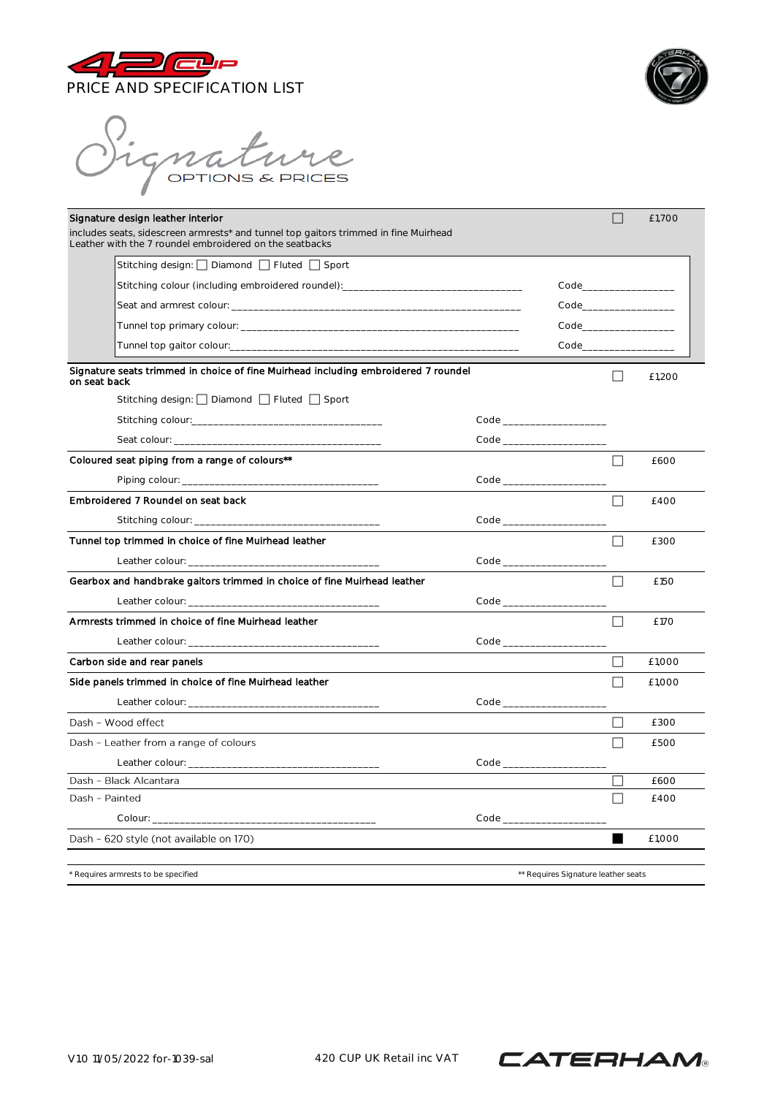



).<br>Vignature

| Signature design leather interior<br>includes seats, sidescreen armrests* and tunnel top gaitors trimmed in fine Muirhead |  |                                           |        | £1,700                                    |
|---------------------------------------------------------------------------------------------------------------------------|--|-------------------------------------------|--------|-------------------------------------------|
| Leather with the 7 roundel embroidered on the seatbacks<br>Stitching design: Diamond Fluted Sport                         |  |                                           |        |                                           |
| Stitching colour (including embroidered roundel): ______________________________                                          |  | Code and the code of the code of the code |        |                                           |
|                                                                                                                           |  |                                           |        | Code and the code of the code of the code |
|                                                                                                                           |  |                                           |        |                                           |
|                                                                                                                           |  | Code____________________                  |        |                                           |
| Signature seats trimmed in choice of fine Muirhead including embroidered 7 roundel<br>on seat back                        |  |                                           | $\Box$ | £1,200                                    |
| Stitching design: $\Box$ Diamond $\Box$ Fluted $\Box$ Sport                                                               |  |                                           |        |                                           |
|                                                                                                                           |  |                                           |        |                                           |
|                                                                                                                           |  | Code _________________________            |        |                                           |
| Coloured seat piping from a range of colours**                                                                            |  |                                           | $\Box$ | £600                                      |
|                                                                                                                           |  | Code _________________________            |        |                                           |
| Embroldered 7 Roundel on seat back                                                                                        |  |                                           | П      | £400                                      |
|                                                                                                                           |  |                                           |        |                                           |
|                                                                                                                           |  |                                           |        |                                           |
| Tunnel top trimmed in choice of fine Muirhead leather                                                                     |  |                                           | ΙI     | £300                                      |
|                                                                                                                           |  |                                           |        |                                           |
| Gearbox and handbrake galtors trimmed in choice of fine Muirhead leather                                                  |  |                                           | П      | £150                                      |
|                                                                                                                           |  |                                           |        |                                           |
| Armrests trimmed in choice of fine Muirhead leather                                                                       |  |                                           | П      | £170                                      |
|                                                                                                                           |  |                                           |        |                                           |
| Carbon side and rear panels                                                                                               |  |                                           | П      | £1.000                                    |
| Side panels trimmed in choice of fine Muirhead leather                                                                    |  |                                           | П      | £1.000                                    |
|                                                                                                                           |  |                                           |        |                                           |
| Dash - Wood effect                                                                                                        |  |                                           | $\Box$ | £300                                      |
| Dash - Leather from a range of colours                                                                                    |  |                                           | П      | £500                                      |
|                                                                                                                           |  |                                           |        |                                           |
| Dash - Black Alcantara                                                                                                    |  |                                           |        | £600                                      |
| Dash - Painted                                                                                                            |  |                                           | П      | £400                                      |
|                                                                                                                           |  |                                           |        |                                           |
| Dash - 620 style (not available on 170)                                                                                   |  |                                           | ш      | £1.000                                    |
| Requires armrests to be specified<br>** Requires Signature leather seats                                                  |  |                                           |        |                                           |

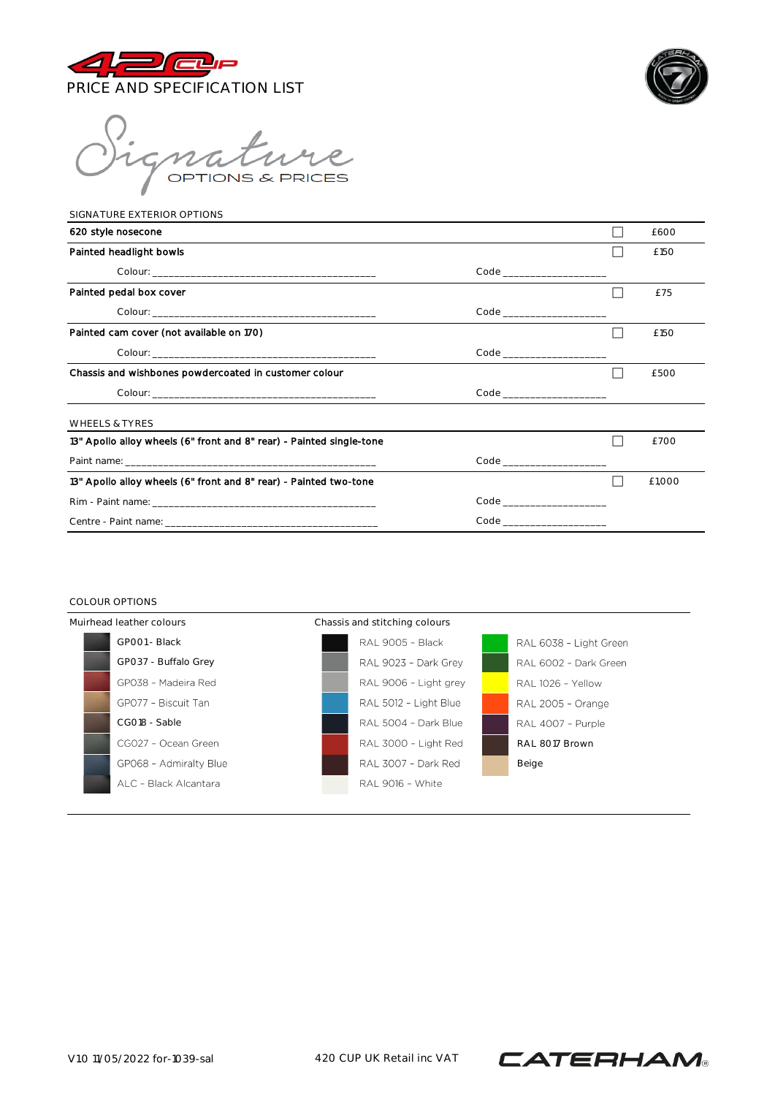



mature

| SIGNATURE EXTERIOR OPTIONS                                           |                            |        |
|----------------------------------------------------------------------|----------------------------|--------|
| 620 style nosecone                                                   |                            | £600   |
| Painted headlight bowls                                              |                            | £150   |
|                                                                      |                            |        |
| Painted pedal box cover                                              |                            | £75    |
|                                                                      | Code _____________________ |        |
| Painted cam cover (not available on 170)                             |                            | £150   |
|                                                                      |                            |        |
| Chassis and wishbones powdercoated in customer colour                |                            | £500   |
|                                                                      |                            |        |
| <b>WHEELS &amp; TYRES</b>                                            |                            |        |
| 13" Apollo alloy wheels (6" front and 8" rear) - Painted single-tone |                            | £700   |
|                                                                      |                            |        |
| 13" Apollo alloy wheels (6" front and 8" rear) - Painted two-tone    |                            | £1.000 |
|                                                                      |                            |        |
|                                                                      |                            |        |

## COLOUR OPTIONS